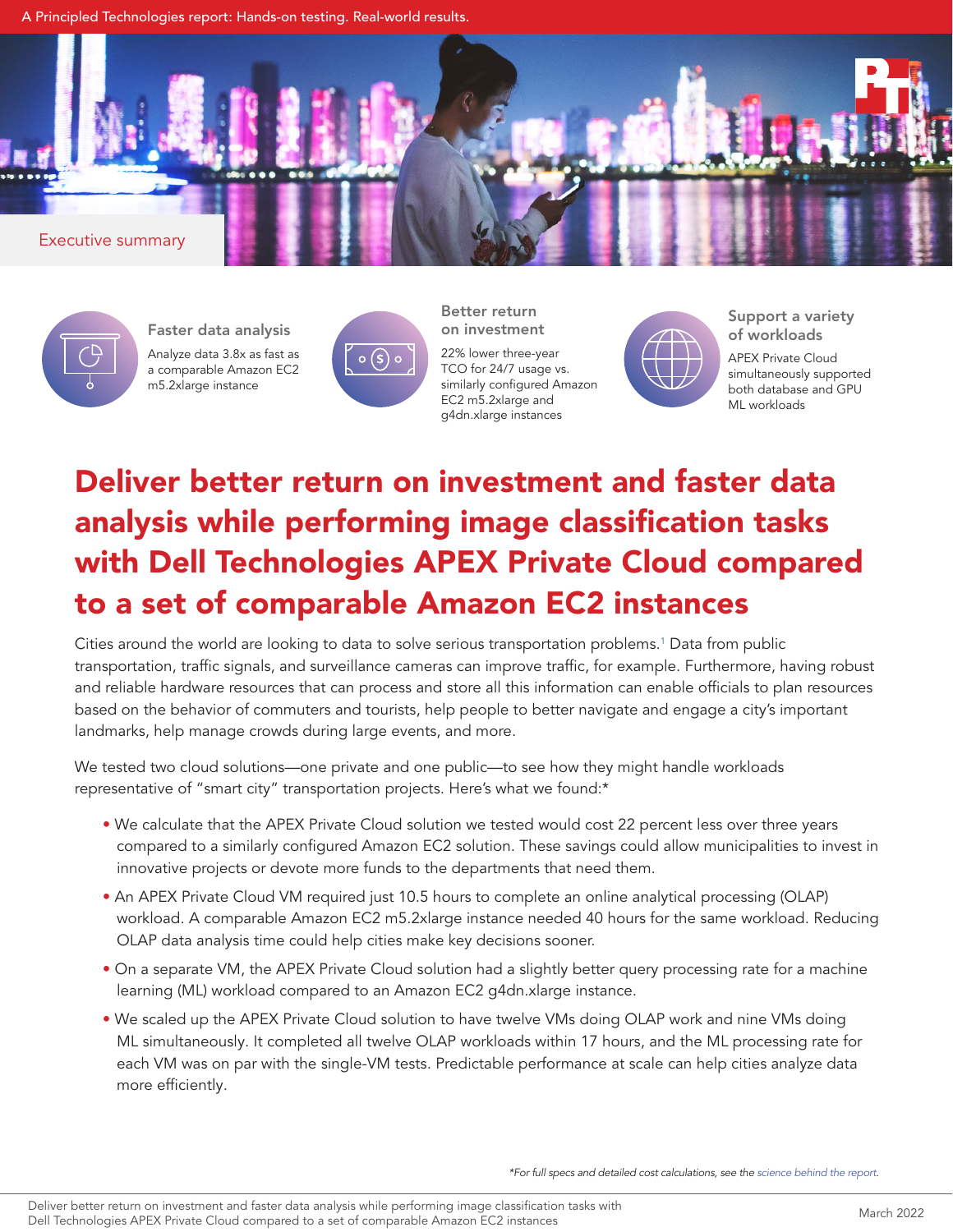A Principled Technologies report: Hands-on testing. Real-world results.





Faster data analysis Analyze data 3.8x as fast as a comparable Amazon EC2 m5.2xlarge instance



Better return on investment 22% lower three-year

TCO for 24/7 usage vs. similarly configured Amazon EC2 m5.2xlarge and g4dn.xlarge instances



Support a variety of workloads

APEX Private Cloud simultaneously supported both database and GPU ML workloads

# Deliver better return on investment and faster data analysis while performing image classification tasks with Dell Technologies APEX Private Cloud compared to a set of comparable Amazon EC2 instances

Cities around the world are looking to data to solve serious transportation problems[.1](#page-1-0) Data from public transportation, traffic signals, and surveillance cameras can improve traffic, for example. Furthermore, having robust and reliable hardware resources that can process and store all this information can enable officials to plan resources based on the behavior of commuters and tourists, help people to better navigate and engage a city's important landmarks, help manage crowds during large events, and more.

We tested two cloud solutions—one private and one public—to see how they might handle workloads representative of "smart city" transportation projects. Here's what we found:\*

- We calculate that the APEX Private Cloud solution we tested would cost 22 percent less over three years compared to a similarly configured Amazon EC2 solution. These savings could allow municipalities to invest in innovative projects or devote more funds to the departments that need them.
- An APEX Private Cloud VM required just 10.5 hours to complete an online analytical processing (OLAP) workload. A comparable Amazon EC2 m5.2xlarge instance needed 40 hours for the same workload. Reducing OLAP data analysis time could help cities make key decisions sooner.
- On a separate VM, the APEX Private Cloud solution had a slightly better query processing rate for a machine learning (ML) workload compared to an Amazon EC2 g4dn.xlarge instance.
- We scaled up the APEX Private Cloud solution to have twelve VMs doing OLAP work and nine VMs doing ML simultaneously. It completed all twelve OLAP workloads within 17 hours, and the ML processing rate for each VM was on par with the single-VM tests. Predictable performance at scale can help cities analyze data more efficiently.

*\*For full specs and detailed cost calculations, see the [science behind the report](mailto:https://facts.pt/vQfSwqS?subject=).*